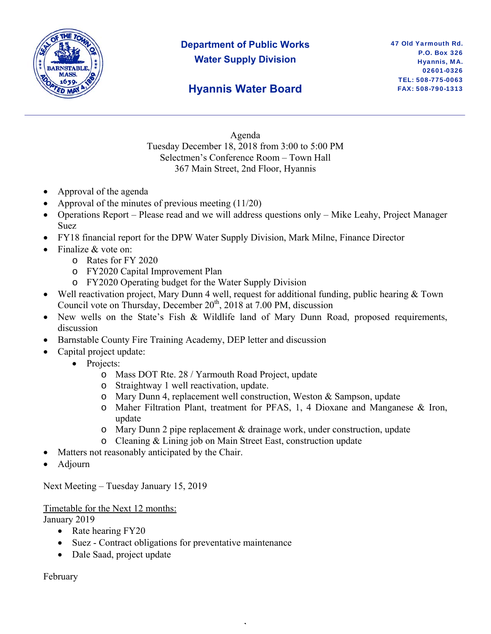

# **Department of Public Works Water Supply Division**

## **Hyannis Water Board**

Agenda Tuesday December 18, 2018 from 3:00 to 5:00 PM Selectmen's Conference Room – Town Hall 367 Main Street, 2nd Floor, Hyannis

- Approval of the agenda
- Approval of the minutes of previous meeting (11/20)
- Operations Report Please read and we will address questions only Mike Leahy, Project Manager Suez
- FY18 financial report for the DPW Water Supply Division, Mark Milne, Finance Director
- Finalize & vote on:
	- o Rates for FY 2020
	- o FY2020 Capital Improvement Plan
	- o FY2020 Operating budget for the Water Supply Division
- Well reactivation project, Mary Dunn 4 well, request for additional funding, public hearing & Town Council vote on Thursday, December  $20<sup>th</sup>$ ,  $2018$  at 7.00 PM, discussion
- New wells on the State's Fish & Wildlife land of Mary Dunn Road, proposed requirements, discussion
- Barnstable County Fire Training Academy, DEP letter and discussion
- Capital project update:
	- Projects:
		- o Mass DOT Rte. 28 / Yarmouth Road Project, update
		- o Straightway 1 well reactivation, update.
		- o Mary Dunn 4, replacement well construction, Weston & Sampson, update
		- o Maher Filtration Plant, treatment for PFAS, 1, 4 Dioxane and Manganese & Iron, update
		- o Mary Dunn 2 pipe replacement & drainage work, under construction, update

,

- o Cleaning & Lining job on Main Street East, construction update
- Matters not reasonably anticipated by the Chair.
- Adjourn

Next Meeting – Tuesday January 15, 2019

Timetable for the Next 12 months: January 2019

- Rate hearing FY20
- Suez Contract obligations for preventative maintenance
- Dale Saad, project update

February